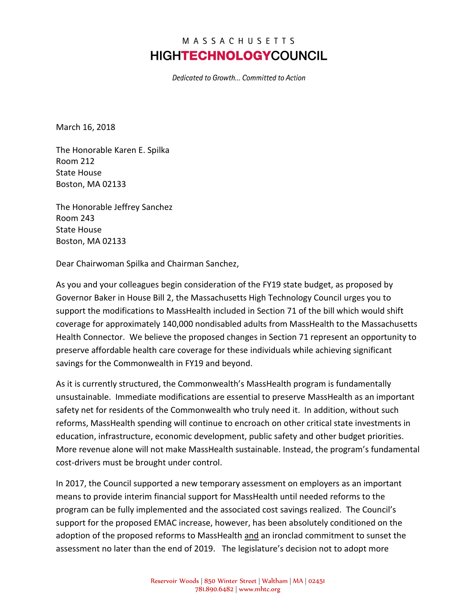## MASSACHUSETTS **HIGHTECHNOLOGY**COUNCIL

Dedicated to Growth... Committed to Action

March 16, 2018

The Honorable Karen E. Spilka Room 212 State House Boston, MA 02133

The Honorable Jeffrey Sanchez Room 243 State House Boston, MA 02133

Dear Chairwoman Spilka and Chairman Sanchez,

As you and your colleagues begin consideration of the FY19 state budget, as proposed by Governor Baker in House Bill 2, the Massachusetts High Technology Council urges you to support the modifications to MassHealth included in Section 71 of the bill which would shift coverage for approximately 140,000 nondisabled adults from MassHealth to the Massachusetts Health Connector. We believe the proposed changes in Section 71 represent an opportunity to preserve affordable health care coverage for these individuals while achieving significant savings for the Commonwealth in FY19 and beyond.

As it is currently structured, the Commonwealth's MassHealth program is fundamentally unsustainable. Immediate modifications are essential to preserve MassHealth as an important safety net for residents of the Commonwealth who truly need it. In addition, without such reforms, MassHealth spending will continue to encroach on other critical state investments in education, infrastructure, economic development, public safety and other budget priorities. More revenue alone will not make MassHealth sustainable. Instead, the program's fundamental cost-drivers must be brought under control.

In 2017, the Council supported a new temporary assessment on employers as an important means to provide interim financial support for MassHealth until needed reforms to the program can be fully implemented and the associated cost savings realized. The Council's support for the proposed EMAC increase, however, has been absolutely conditioned on the adoption of the proposed reforms to MassHealth and an ironclad commitment to sunset the assessment no later than the end of 2019. The legislature's decision not to adopt more